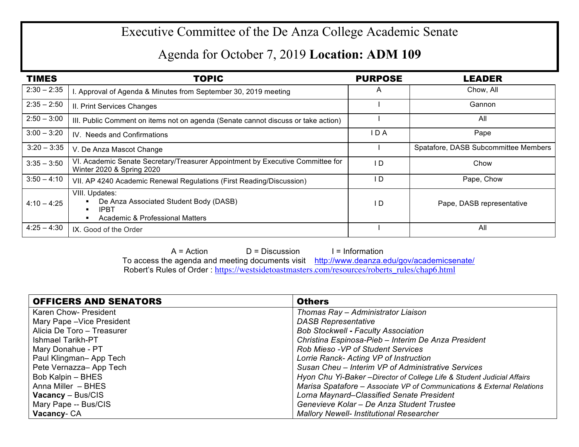## Executive Committee of the De Anza College Academic Senate

## Agenda for October 7, 2019 **Location: ADM 109**

| <b>TIMES</b>  | <b>TOPIC</b>                                                                                                     | <b>PURPOSE</b> | <b>LEADER</b>                        |
|---------------|------------------------------------------------------------------------------------------------------------------|----------------|--------------------------------------|
| $2:30 - 2:35$ | . Approval of Agenda & Minutes from September 30, 2019 meeting                                                   | A              | Chow, All                            |
| $2:35 - 2:50$ | II. Print Services Changes                                                                                       |                | Gannon                               |
| $2:50 - 3:00$ | III. Public Comment on items not on agenda (Senate cannot discuss or take action)                                |                | All                                  |
| $3:00 - 3:20$ | IV. Needs and Confirmations                                                                                      | I D A          | Pape                                 |
| $3:20 - 3:35$ | V. De Anza Mascot Change                                                                                         |                | Spatafore, DASB Subcommittee Members |
| $3:35 - 3:50$ | VI. Academic Senate Secretary/Treasurer Appointment by Executive Committee for<br>Winter 2020 & Spring 2020      | ID             | Chow                                 |
| $3:50 - 4:10$ | VII. AP 4240 Academic Renewal Regulations (First Reading/Discussion)                                             | I D            | Pape, Chow                           |
| $4:10 - 4:25$ | VIII. Updates:<br>De Anza Associated Student Body (DASB)<br><b>IPBT</b><br>п.<br>Academic & Professional Matters | I D            | Pape, DASB representative            |
| $4:25 - 4:30$ | IX. Good of the Order                                                                                            |                | All                                  |

 $A = Action$   $D = Discussion$  I = Information To access the agenda and meeting documents visit http://www.deanza.edu/gov/academicsenate/ Robert's Rules of Order : https://westsidetoastmasters.com/resources/roberts\_rules/chap6.html

| <b>OFFICERS AND SENATORS</b> | <b>Others</b>                                                           |
|------------------------------|-------------------------------------------------------------------------|
| Karen Chow- President        | Thomas Ray - Administrator Liaison                                      |
| Mary Pape - Vice President   | <b>DASB Representative</b>                                              |
| Alicia De Toro - Treasurer   | <b>Bob Stockwell - Faculty Association</b>                              |
| Ishmael Tarikh-PT            | Christina Espinosa-Pieb - Interim De Anza President                     |
| Mary Donahue - PT            | Rob Mieso - VP of Student Services                                      |
| Paul Klingman-App Tech       | Lorrie Ranck- Acting VP of Instruction                                  |
| Pete Vernazza-App Tech       | Susan Cheu - Interim VP of Administrative Services                      |
| Bob Kalpin - BHES            | Hyon Chu Yi-Baker - Director of College Life & Student Judicial Affairs |
| Anna Miller - BHES           | Marisa Spatafore - Associate VP of Communications & External Relations  |
| <b>Vacancy</b> – Bus/CIS     | Lorna Maynard–Classified Senate President                               |
| Mary Pape -- Bus/CIS         | Genevieve Kolar - De Anza Student Trustee                               |
| Vacancy-CA                   | <b>Mallory Newell- Institutional Researcher</b>                         |